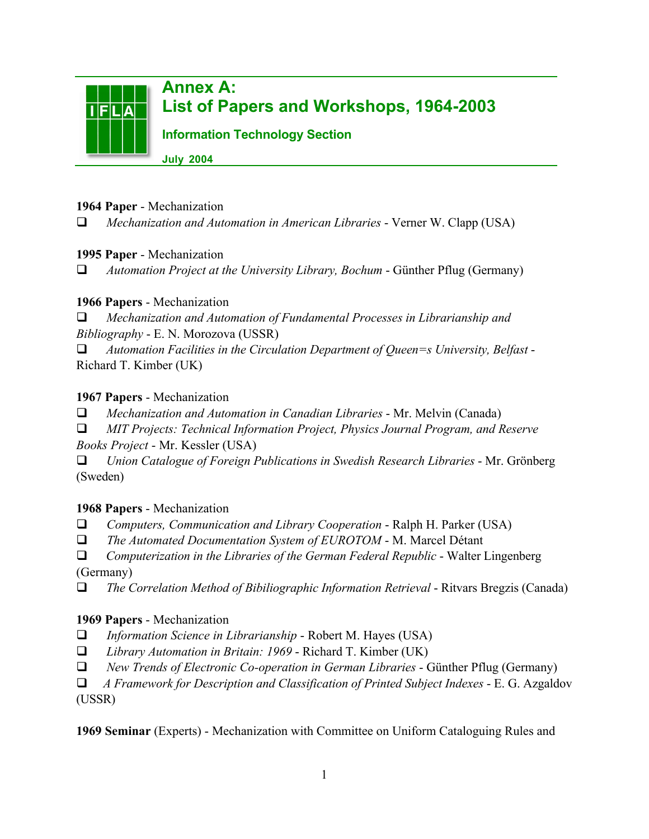

#### 1964 Paper - Mechanization

*Mechanization and Automation in American Libraries* - Verner W. Clapp (USA)

#### 1995 Paper - Mechanization

*Automation Project at the University Library, Bochum* - Günther Pflug (Germany)

### 1966 Papers - Mechanization

 *Mechanization and Automation of Fundamental Processes in Librarianship and Bibliography* - E. N. Morozova (USSR)

 *Automation Facilities in the Circulation Department of Queen=s University, Belfast* - Richard T. Kimber (UK)

### 1967 Papers - Mechanization

 *Mechanization and Automation in Canadian Libraries* - Mr. Melvin (Canada)

 *MIT Projects: Technical Information Project, Physics Journal Program, and Reserve Books Project* - Mr. Kessler (USA)

 *Union Catalogue of Foreign Publications in Swedish Research Libraries* - Mr. Grönberg (Sweden)

### 1968 Papers - Mechanization

*Computers, Communication and Library Cooperation* - Ralph H. Parker (USA)

*The Automated Documentation System of EUROTOM* - M. Marcel Détant

 *Computerization in the Libraries of the German Federal Republic* - Walter Lingenberg (Germany)

*The Correlation Method of Bibiliographic Information Retrieval* - Ritvars Bregzis (Canada)

### 1969 Papers - Mechanization

- *Information Science in Librarianship* Robert M. Hayes (USA)
- *Library Automation in Britain: 1969* Richard T. Kimber (UK)
- *New Trends of Electronic Co-operation in German Libraries* Günther Pflug (Germany)

 *A Framework for Description and Classification of Printed Subject Indexes* - E. G. Azgaldov (USSR)

1969 Seminar (Experts) - Mechanization with Committee on Uniform Cataloguing Rules and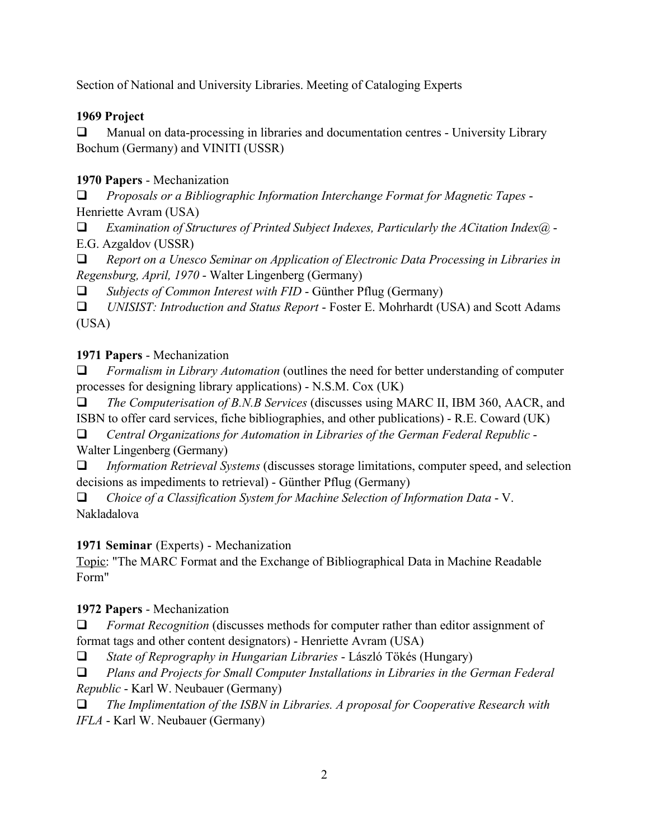Section of National and University Libraries. Meeting of Cataloging Experts

## 1969 Project

 Manual on data-processing in libraries and documentation centres - University Library Bochum (Germany) and VINITI (USSR)

# 1970 Papers - Mechanization

 *Proposals or a Bibliographic Information Interchange Format for Magnetic Tapes* - Henriette Avram (USA)

 *Examination of Structures of Printed Subject Indexes, Particularly the ACitation Index@* - E.G. Azgaldov (USSR)

 *Report on a Unesco Seminar on Application of Electronic Data Processing in Libraries in Regensburg, April, 1970* - Walter Lingenberg (Germany)

*Subjects of Common Interest with FID* - Günther Pflug (Germany)

 *UNISIST: Introduction and Status Report* - Foster E. Mohrhardt (USA) and Scott Adams (USA)

# 1971 Papers - Mechanization

 *Formalism in Library Automation* (outlines the need for better understanding of computer processes for designing library applications) - N.S.M. Cox (UK)

 *The Computerisation of B.N.B Services* (discusses using MARC II, IBM 360, AACR, and ISBN to offer card services, fiche bibliographies, and other publications) - R.E. Coward (UK)

 *Central Organizations for Automation in Libraries of the German Federal Republic* - Walter Lingenberg (Germany)

 *Information Retrieval Systems* (discusses storage limitations, computer speed, and selection decisions as impediments to retrieval) - Günther Pflug (Germany)

 *Choice of a Classification System for Machine Selection of Information Data* - V. Nakladalova

# 1971 Seminar (Experts) - Mechanization

Topic: "The MARC Format and the Exchange of Bibliographical Data in Machine Readable Form"

1972 Papers - Mechanization

 *Format Recognition* (discusses methods for computer rather than editor assignment of format tags and other content designators) - Henriette Avram (USA)

*State of Reprography in Hungarian Libraries* - László Tökés (Hungary)

 *Plans and Projects for Small Computer Installations in Libraries in the German Federal Republic* - Karl W. Neubauer (Germany)

 *The Implimentation of the ISBN in Libraries. A proposal for Cooperative Research with IFLA* - Karl W. Neubauer (Germany)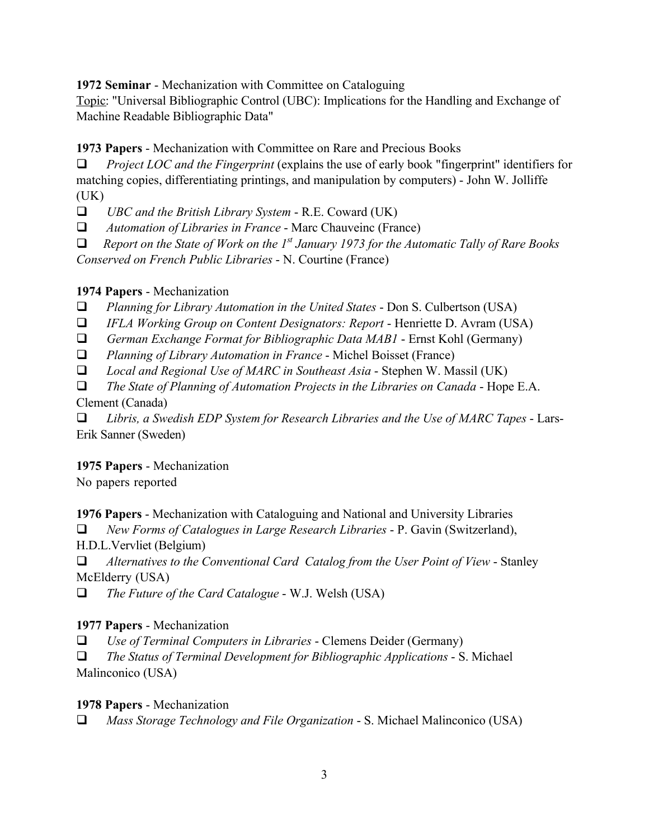1972 Seminar - Mechanization with Committee on Cataloguing

Topic: "Universal Bibliographic Control (UBC): Implications for the Handling and Exchange of Machine Readable Bibliographic Data"

1973 Papers - Mechanization with Committee on Rare and Precious Books

 *Project LOC and the Fingerprint* (explains the use of early book "fingerprint" identifiers for matching copies, differentiating printings, and manipulation by computers) - John W. Jolliffe  $(UK)$ 

*UBC and the British Library System* - R.E. Coward (UK)

*Automation of Libraries in France* - Marc Chauveinc (France)

*Report on the State of Work on the 1st January 1973 for the Automatic Tally of Rare Books*

*Conserved on French Public Libraries* - N. Courtine (France)

#### 1974 Papers - Mechanization

*Planning for Library Automation in the United States* - Don S. Culbertson (USA)

*IFLA Working Group on Content Designators: Report* - Henriette D. Avram (USA)

*German Exchange Format for Bibliographic Data MAB1* - Ernst Kohl (Germany)

*Planning of Library Automation in France* - Michel Boisset (France)

*Local and Regional Use of MARC in Southeast Asia* - Stephen W. Massil (UK)

 *The State of Planning of Automation Projects in the Libraries on Canada* - Hope E.A. Clement (Canada)

 *Libris, a Swedish EDP System for Research Libraries and the Use of MARC Tapes* - Lars-Erik Sanner (Sweden)

### 1975 Papers - Mechanization

No papers reported

1976 Papers - Mechanization with Cataloguing and National and University Libraries

*New Forms of Catalogues in Large Research Libraries* - P. Gavin (Switzerland),

H.D.L.Vervliet (Belgium)

 *Alternatives to the Conventional Card Catalog from the User Point of View* - Stanley McElderry (USA)

*The Future of the Card Catalogue* - W.J. Welsh (USA)

### 1977 Papers - Mechanization

*Use of Terminal Computers in Libraries* - Clemens Deider (Germany)

 *The Status of Terminal Development for Bibliographic Applications* - S. Michael Malinconico (USA)

#### 1978 Papers - Mechanization

*Mass Storage Technology and File Organization* - S. Michael Malinconico (USA)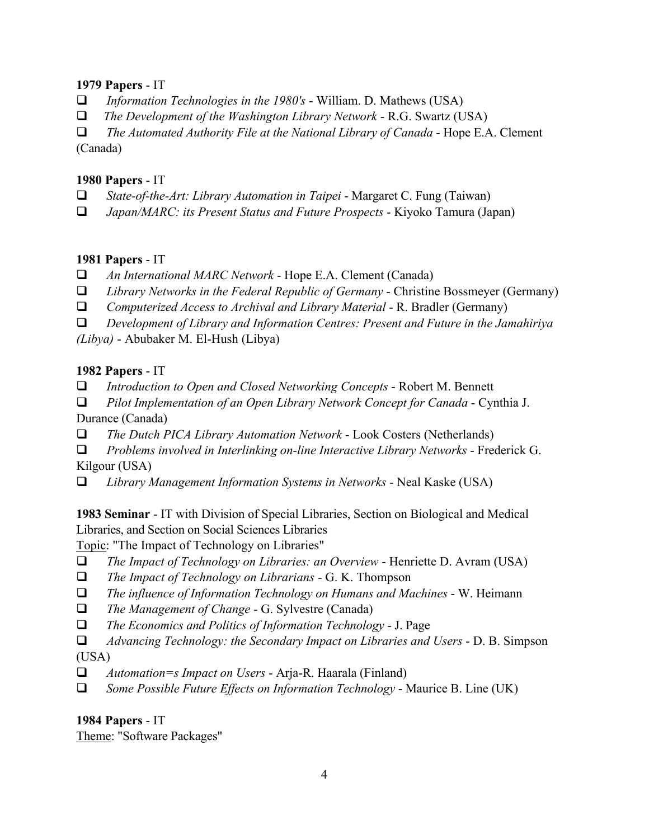#### 1979 Papers - IT

- *Information Technologies in the 1980's* William. D. Mathews (USA)
- *The Development of the Washington Library Network* R.G. Swartz (USA)

 *The Automated Authority File at the National Library of Canada* - Hope E.A. Clement (Canada)

#### 1980 Papers - IT

- *State-of-the-Art: Library Automation in Taipei* Margaret C. Fung (Taiwan)
- *Japan/MARC: its Present Status and Future Prospects* Kiyoko Tamura (Japan)

#### 1981 Papers - IT

- *An International MARC Network* Hope E.A. Clement (Canada)
- *Library Networks in the Federal Republic of Germany* Christine Bossmeyer (Germany)
- *Computerized Access to Archival and Library Material* R. Bradler (Germany)
- *Development of Library and Information Centres: Present and Future in the Jamahiriya*

*(Libya)* - Abubaker M. El-Hush (Libya)

#### 1982 Papers - IT

- *Introduction to Open and Closed Networking Concepts* Robert M. Bennett
- *Pilot Implementation of an Open Library Network Concept for Canada* Cynthia J.

Durance (Canada)

*The Dutch PICA Library Automation Network* - Look Costers (Netherlands)

 *Problems involved in Interlinking on-line Interactive Library Networks* - Frederick G. Kilgour (USA)

*Library Management Information Systems in Networks* - Neal Kaske (USA)

1983 Seminar - IT with Division of Special Libraries, Section on Biological and Medical Libraries, and Section on Social Sciences Libraries

Topic: "The Impact of Technology on Libraries"

- *The Impact of Technology on Libraries: an Overview* Henriette D. Avram (USA)
- *The Impact of Technology on Librarians* G. K. Thompson
- *The influence of Information Technology on Humans and Machines* W. Heimann
- *The Management of Change* G. Sylvestre (Canada)
- *The Economics and Politics of Information Technology* J. Page
- *Advancing Technology: the Secondary Impact on Libraries and Users* D. B. Simpson

(USA)

- *Automation=s Impact on Users* Arja-R. Haarala (Finland)
- *Some Possible Future Effects on Information Technology* Maurice B. Line (UK)

### 1984 Papers - IT

Theme: "Software Packages"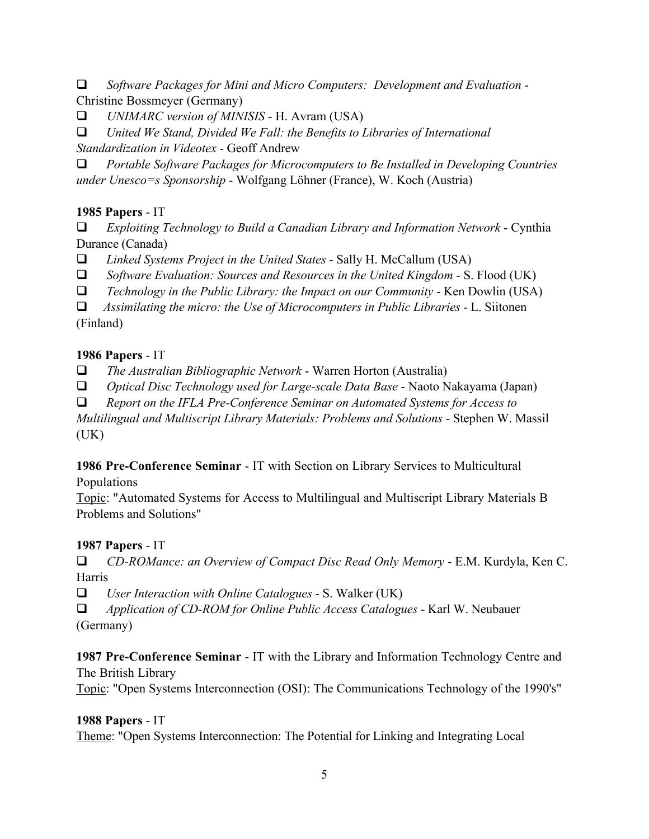*Software Packages for Mini and Micro Computers: Development and Evaluation* - Christine Bossmeyer (Germany)

*UNIMARC version of MINISIS* - H. Avram (USA)

 *United We Stand, Divided We Fall: the Benefits to Libraries of International Standardization in Videotex* - Geoff Andrew

 *Portable Software Packages for Microcomputers to Be Installed in Developing Countries under Unesco=s Sponsorship* - Wolfgang Löhner (France), W. Koch (Austria)

### 1985 Papers - IT

 *Exploiting Technology to Build a Canadian Library and Information Network* - Cynthia Durance (Canada)

*Linked Systems Project in the United States* - Sally H. McCallum (USA)

*Software Evaluation: Sources and Resources in the United Kingdom* - S. Flood (UK)

*Technology in the Public Library: the Impact on our Community* - Ken Dowlin (USA)

 *Assimilating the micro: the Use of Microcomputers in Public Libraries* - L. Siitonen (Finland)

#### 1986 Papers - IT

*The Australian Bibliographic Network* - Warren Horton (Australia)

*Optical Disc Technology used for Large-scale Data Base* - Naoto Nakayama (Japan)

*Report on the IFLA Pre-Conference Seminar on Automated Systems for Access to*

*Multilingual and Multiscript Library Materials: Problems and Solutions* - Stephen W. Massil  $(UK)$ 

1986 Pre-Conference Seminar - IT with Section on Library Services to Multicultural Populations

Topic: "Automated Systems for Access to Multilingual and Multiscript Library Materials B Problems and Solutions"

### 1987 Papers - IT

 *CD-ROMance: an Overview of Compact Disc Read Only Memory* - E.M. Kurdyla, Ken C. Harris

*User Interaction with Online Catalogues* - S. Walker (UK)

 *Application of CD-ROM for Online Public Access Catalogues* - Karl W. Neubauer (Germany)

1987 Pre-Conference Seminar - IT with the Library and Information Technology Centre and The British Library

Topic: "Open Systems Interconnection (OSI): The Communications Technology of the 1990's"

### 1988 Papers - IT

Theme: "Open Systems Interconnection: The Potential for Linking and Integrating Local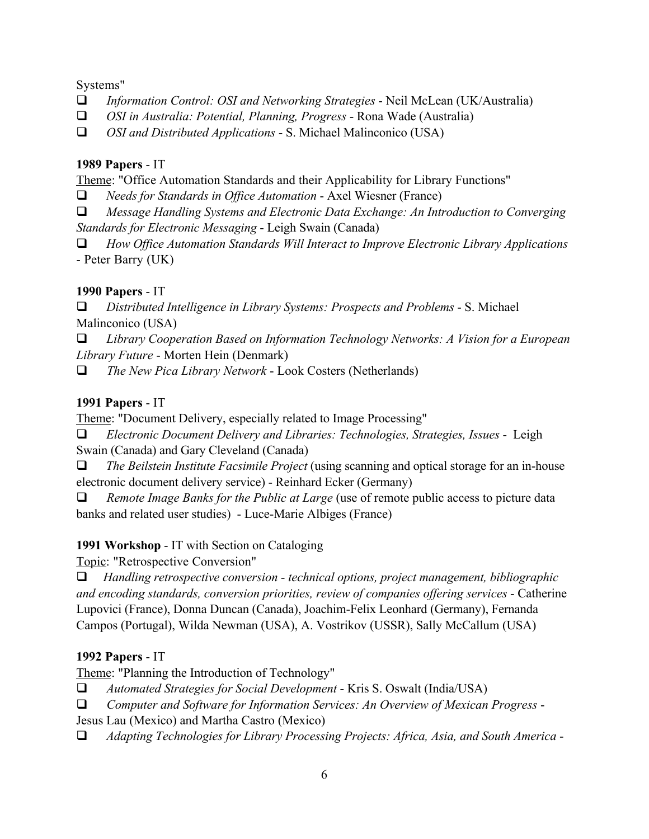Systems"

- *Information Control: OSI and Networking Strategies* Neil McLean (UK/Australia)
- *OSI in Australia: Potential, Planning, Progress* Rona Wade (Australia)

*OSI and Distributed Applications* - S. Michael Malinconico (USA)

#### 1989 Papers - IT

Theme: "Office Automation Standards and their Applicability for Library Functions"

*Needs for Standards in Office Automation* - Axel Wiesner (France)

 *Message Handling Systems and Electronic Data Exchange: An Introduction to Converging Standards for Electronic Messaging* - Leigh Swain (Canada)

 *How Office Automation Standards Will Interact to Improve Electronic Library Applications* - Peter Barry (UK)

### 1990 Papers - IT

 *Distributed Intelligence in Library Systems: Prospects and Problems* - S. Michael Malinconico (USA)

 *Library Cooperation Based on Information Technology Networks: A Vision for a European Library Future* - Morten Hein (Denmark)

*The New Pica Library Network* - Look Costers (Netherlands)

## 1991 Papers - IT

Theme: "Document Delivery, especially related to Image Processing"

 *Electronic Document Delivery and Libraries: Technologies, Strategies, Issues* - Leigh Swain (Canada) and Gary Cleveland (Canada)

 *The Beilstein Institute Facsimile Project* (using scanning and optical storage for an in-house electronic document delivery service) - Reinhard Ecker (Germany)

 *Remote Image Banks for the Public at Large* (use of remote public access to picture data banks and related user studies) - Luce-Marie Albiges (France)

### 1991 Workshop - IT with Section on Cataloging

Topic: "Retrospective Conversion"

 *Handling retrospective conversion - technical options, project management, bibliographic and encoding standards, conversion priorities, review of companies offering services* - Catherine Lupovici (France), Donna Duncan (Canada), Joachim-Felix Leonhard (Germany), Fernanda Campos (Portugal), Wilda Newman (USA), A. Vostrikov (USSR), Sally McCallum (USA)

### 1992 Papers - IT

Theme: "Planning the Introduction of Technology"

 *Automated Strategies for Social Development* - Kris S. Oswalt (India/USA)

 *Computer and Software for Information Services: An Overview of Mexican Progress* -

Jesus Lau (Mexico) and Martha Castro (Mexico)

*Adapting Technologies for Library Processing Projects: Africa, Asia, and South America* -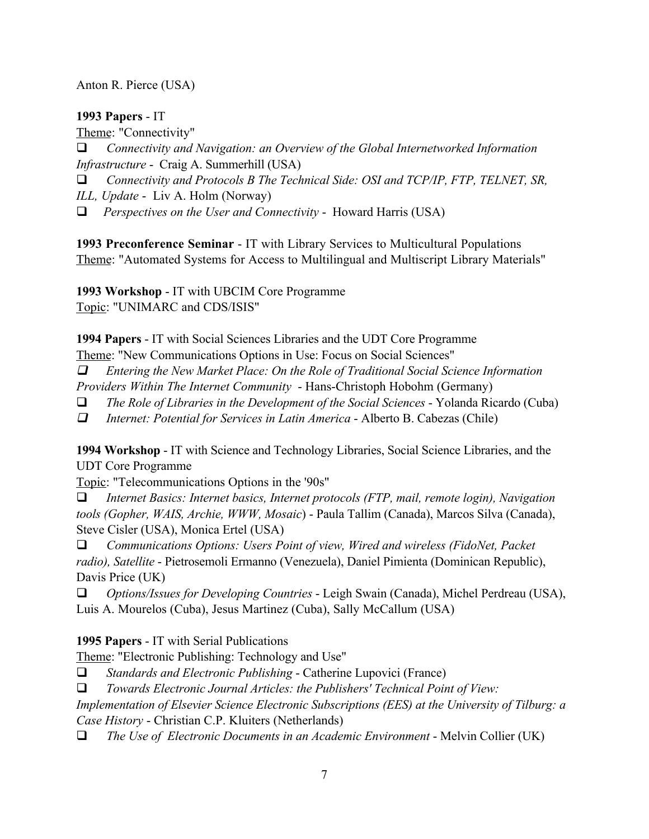Anton R. Pierce (USA)

#### 1993 Papers - IT

Theme: "Connectivity"

 *Connectivity and Navigation: an Overview of the Global Internetworked Information Infrastructure* - Craig A. Summerhill (USA)

*Connectivity and Protocols B The Technical Side: OSI and TCP/IP, FTP, TELNET, SR,*

*ILL, Update* - Liv A. Holm (Norway)

*Perspectives on the User and Connectivity* - Howard Harris (USA)

1993 Preconference Seminar - IT with Library Services to Multicultural Populations Theme: "Automated Systems for Access to Multilingual and Multiscript Library Materials"

1993 Workshop - IT with UBCIM Core Programme Topic: "UNIMARC and CDS/ISIS"

1994 Papers - IT with Social Sciences Libraries and the UDT Core Programme Theme: "New Communications Options in Use: Focus on Social Sciences"

 *Entering the New Market Place: On the Role of Traditional Social Science Information Providers Within The Internet Community* - Hans-Christoph Hobohm (Germany)

*The Role of Libraries in the Development of the Social Sciences* - Yolanda Ricardo (Cuba)

 *Internet: Potential for Services in Latin America* - Alberto B. Cabezas (Chile)

1994 Workshop - IT with Science and Technology Libraries, Social Science Libraries, and the UDT Core Programme

Topic: "Telecommunications Options in the '90s"

 *Internet Basics: Internet basics, Internet protocols (FTP, mail, remote login), Navigation tools (Gopher, WAIS, Archie, WWW, Mosaic*) - Paula Tallim (Canada), Marcos Silva (Canada), Steve Cisler (USA), Monica Ertel (USA)

 *Communications Options: Users Point of view, Wired and wireless (FidoNet, Packet radio), Satellite* - Pietrosemoli Ermanno (Venezuela), Daniel Pimienta (Dominican Republic), Davis Price (UK)

 *Options/Issues for Developing Countries* - Leigh Swain (Canada), Michel Perdreau (USA), Luis A. Mourelos (Cuba), Jesus Martinez (Cuba), Sally McCallum (USA)

1995 Papers - IT with Serial Publications

Theme: "Electronic Publishing: Technology and Use"

*Standards and Electronic Publishing* - Catherine Lupovici (France)

*Towards Electronic Journal Articles: the Publishers' Technical Point of View:*

*Implementation of Elsevier Science Electronic Subscriptions (EES) at the University of Tilburg: a Case History* - Christian C.P. Kluiters (Netherlands)

 *The Use of Electronic Documents in an Academic Environment* - Melvin Collier (UK)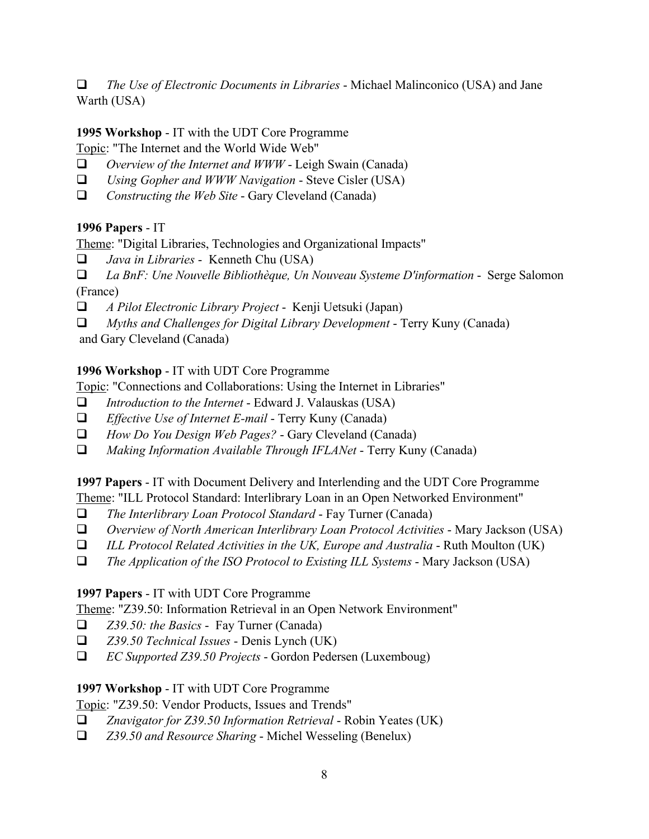*The Use of Electronic Documents in Libraries* - Michael Malinconico (USA) and Jane Warth (USA)

## 1995 Workshop - IT with the UDT Core Programme

Topic: "The Internet and the World Wide Web"

- *Overview of the Internet and WWW* Leigh Swain (Canada)
- *Using Gopher and WWW Navigation* Steve Cisler (USA)
- *Constructing the Web Site* Gary Cleveland (Canada)

### 1996 Papers - IT

Theme: "Digital Libraries, Technologies and Organizational Impacts"

*Java in Libraries* - Kenneth Chu (USA)

 *La BnF: Une Nouvelle Bibliothèque, Un Nouveau Systeme D'information* - Serge Salomon (France)

- *A Pilot Electronic Library Project* Kenji Uetsuki (Japan)
- *Myths and Challenges for Digital Library Development* Terry Kuny (Canada)

and Gary Cleveland (Canada)

### 1996 Workshop - IT with UDT Core Programme

Topic: "Connections and Collaborations: Using the Internet in Libraries"

- *Introduction to the Internet* Edward J. Valauskas (USA)
- *Effective Use of Internet E-mail* Terry Kuny (Canada)
- *How Do You Design Web Pages?* Gary Cleveland (Canada)
- *Making Information Available Through IFLANet* Terry Kuny (Canada)

1997 Papers - IT with Document Delivery and Interlending and the UDT Core Programme

Theme: "ILL Protocol Standard: Interlibrary Loan in an Open Networked Environment"

- *The Interlibrary Loan Protocol Standard* Fay Turner (Canada)
- *Overview of North American Interlibrary Loan Protocol Activities* Mary Jackson (USA)
- *ILL Protocol Related Activities in the UK, Europe and Australia* Ruth Moulton (UK)
- *The Application of the ISO Protocol to Existing ILL Systems* Mary Jackson (USA)

### 1997 Papers - IT with UDT Core Programme

Theme: "Z39.50: Information Retrieval in an Open Network Environment"

- *Z39.50: the Basics* Fay Turner (Canada)
- *Z39.50 Technical Issues* Denis Lynch (UK)
- *EC Supported Z39.50 Projects* Gordon Pedersen (Luxemboug)

### 1997 Workshop - IT with UDT Core Programme

### Topic: "Z39.50: Vendor Products, Issues and Trends"

- *Znavigator for Z39.50 Information Retrieval* Robin Yeates (UK)
- *Z39.50 and Resource Sharing* Michel Wesseling (Benelux)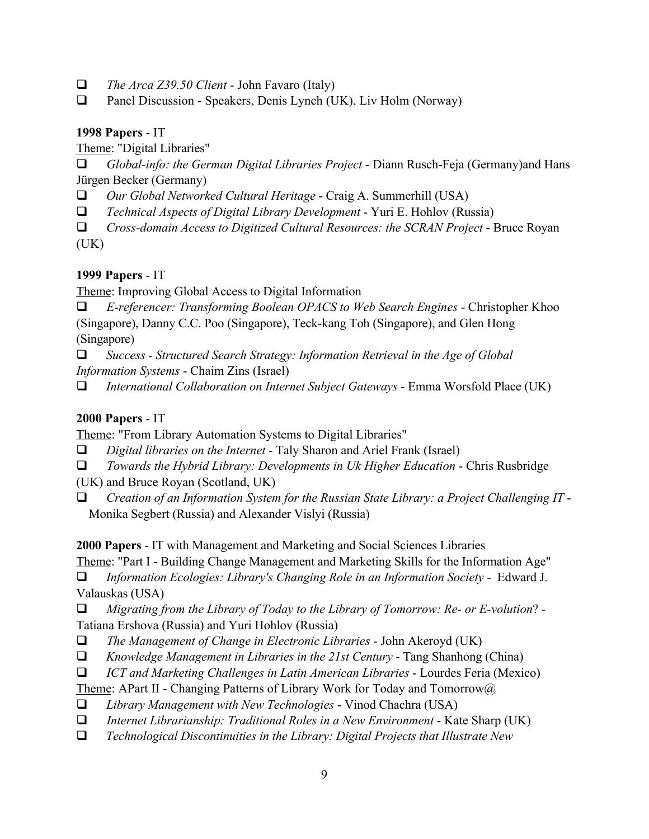- *The Arca Z39.50 Client* John Favaro (Italy)
- Panel Discussion Speakers, Denis Lynch (UK), Liv Holm (Norway)

#### 1998 Papers - IT

Theme: "Digital Libraries"

 *Global-info: the German Digital Libraries Project* - Diann Rusch-Feja (Germany)and Hans Jürgen Becker (Germany)

- *Our Global Networked Cultural Heritage* Craig A. Summerhill (USA)
- *Technical Aspects of Digital Library Development* Yuri E. Hohlov (Russia)

 *Cross-domain Access to Digitized Cultural Resources: the SCRAN Project* - Bruce Royan  $(UK)$ 

## 1999 Papers - IT

Theme: Improving Global Access to Digital Information

 *E-referencer: Transforming Boolean OPACS to Web Search Engines* - Christopher Khoo (Singapore), Danny C.C. Poo (Singapore), Teck-kang Toh (Singapore), and Glen Hong (Singapore)

 *Success - Structured Search Strategy: Information Retrieval in the Age of Global Information Systems* - Chaim Zins (Israel)

*International Collaboration on Internet Subject Gateways* - Emma Worsfold Place (UK)

## 2000 Papers - IT

Theme: "From Library Automation Systems to Digital Libraries"

- *Digital libraries on the Internet* Taly Sharon and Ariel Frank (Israel)
- *Towards the Hybrid Library: Developments in Uk Higher Education* Chris Rusbridge
- (UK) and Bruce Royan (Scotland, UK)
- *Creation of an Information System for the Russian State Library: a Project Challenging IT* Monika Segbert (Russia) and Alexander Vislyi (Russia)

2000 Papers - IT with Management and Marketing and Social Sciences Libraries

Theme: "Part I - Building Change Management and Marketing Skills for the Information Age"

 *Information Ecologies: Library's Changing Role in an Information Society* - Edward J. Valauskas (USA)

 *Migrating from the Library of Today to the Library of Tomorrow: Re- or E-volution*? - Tatiana Ershova (Russia) and Yuri Hohlov (Russia)

- *The Management of Change in Electronic Libraries* John Akeroyd (UK)
- *Knowledge Management in Libraries in the 21st Century* Tang Shanhong (China)
- *ICT and Marketing Challenges in Latin American Libraries* Lourdes Feria (Mexico)
- Theme: APart II Changing Patterns of Library Work for Today and Tomorrow@
- *Library Management with New Technologies* Vinod Chachra (USA)
- *Internet Librarianship: Traditional Roles in a New Environment* Kate Sharp (UK)
- *Technological Discontinuities in the Library: Digital Projects that Illustrate New*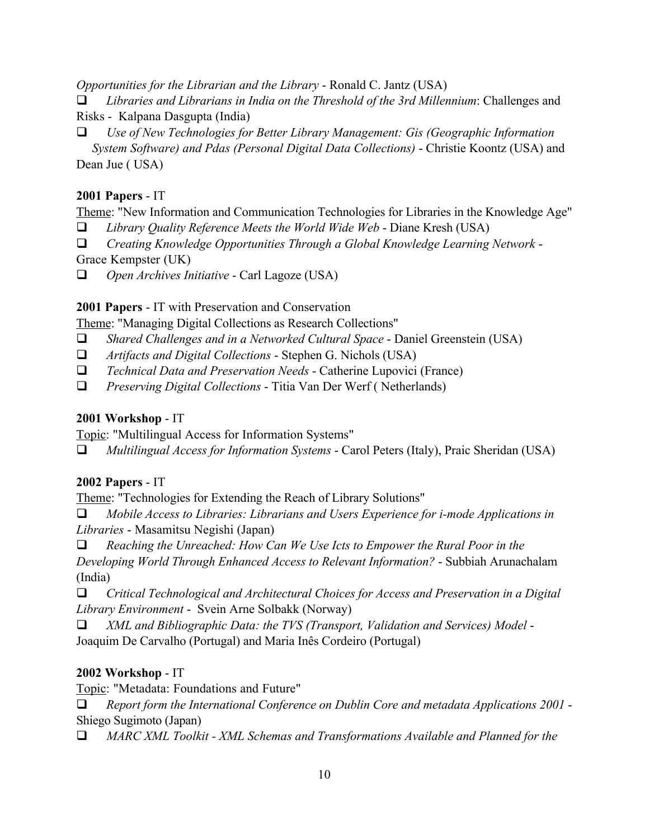*Opportunities for the Librarian and the Library* - Ronald C. Jantz (USA)

 *Libraries and Librarians in India on the Threshold of the 3rd Millennium*: Challenges and Risks - Kalpana Dasgupta (India)

 *Use of New Technologies for Better Library Management: Gis (Geographic Information System Software) and Pdas (Personal Digital Data Collections)* - Christie Koontz (USA) and Dean Jue ( USA)

#### 2001 Papers - IT

Theme: "New Information and Communication Technologies for Libraries in the Knowledge Age"

*Library Quality Reference Meets the World Wide Web* - Diane Kresh (USA)

*Creating Knowledge Opportunities Through a Global Knowledge Learning Network* -

Grace Kempster (UK)

*Open Archives Initiative* - Carl Lagoze (USA)

2001 Papers - IT with Preservation and Conservation

Theme: "Managing Digital Collections as Research Collections"

- *Shared Challenges and in a Networked Cultural Space* Daniel Greenstein (USA)
- *Artifacts and Digital Collections* Stephen G. Nichols (USA)
- *Technical Data and Preservation Needs* Catherine Lupovici (France)
- *Preserving Digital Collections* Titia Van Der Werf ( Netherlands)

## 2001 Workshop - IT

Topic: "Multilingual Access for Information Systems"

*Multilingual Access for Information Systems* - Carol Peters (Italy), Praic Sheridan (USA)

### 2002 Papers - IT

Theme: "Technologies for Extending the Reach of Library Solutions"

 *Mobile Access to Libraries: Librarians and Users Experience for i-mode Applications in Libraries* - Masamitsu Negishi (Japan)

 *Reaching the Unreached: How Can We Use Icts to Empower the Rural Poor in the Developing World Through Enhanced Access to Relevant Information?* - Subbiah Arunachalam (India)

 *Critical Technological and Architectural Choices for Access and Preservation in a Digital Library Environment* - Svein Arne Solbakk (Norway)

 *XML and Bibliographic Data: the TVS (Transport, Validation and Services) Model* - Joaquim De Carvalho (Portugal) and Maria Inês Cordeiro (Portugal)

### 2002 Workshop - IT

Topic: "Metadata: Foundations and Future"

 *Report form the International Conference on Dublin Core and metadata Applications 2001* - Shiego Sugimoto (Japan)

*MARC XML Toolkit - XML Schemas and Transformations Available and Planned for the*